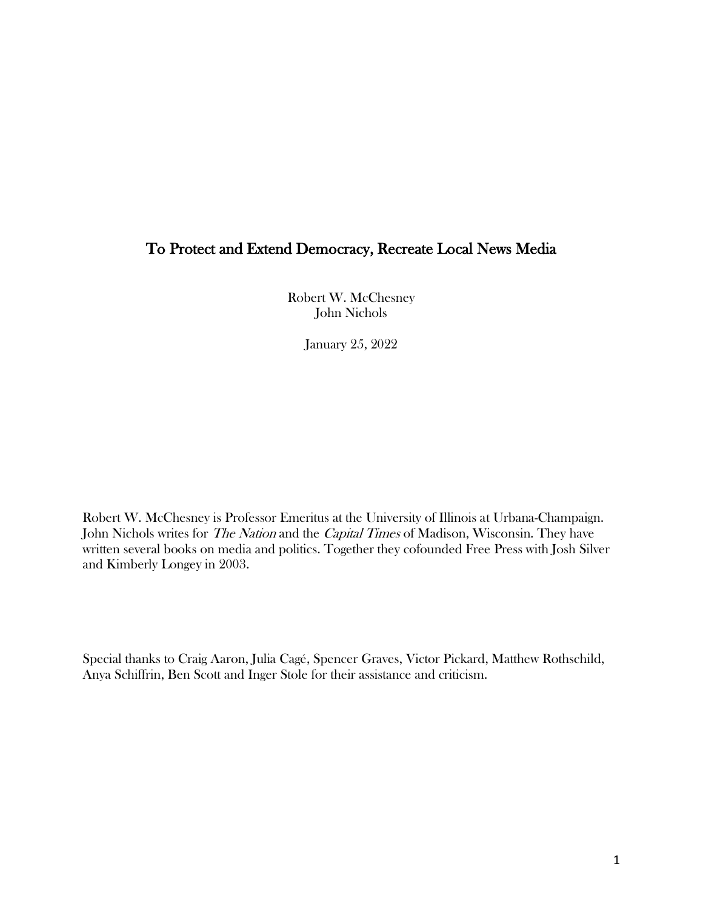# To Protect and Extend Democracy, Recreate Local News Media

Robert W. McChesney John Nichols

January 25, 2022

Robert W. McChesney is Professor Emeritus at the University of Illinois at Urbana-Champaign. John Nichols writes for *The Nation* and the *Capital Times* of Madison, Wisconsin. They have written several books on media and politics. Together they cofounded Free Press with Josh Silver and Kimberly Longey in 2003.

Special thanks to Craig Aaron, Julia Cagé, Spencer Graves, Victor Pickard, Matthew Rothschild, Anya Schiffrin, Ben Scott and Inger Stole for their assistance and criticism.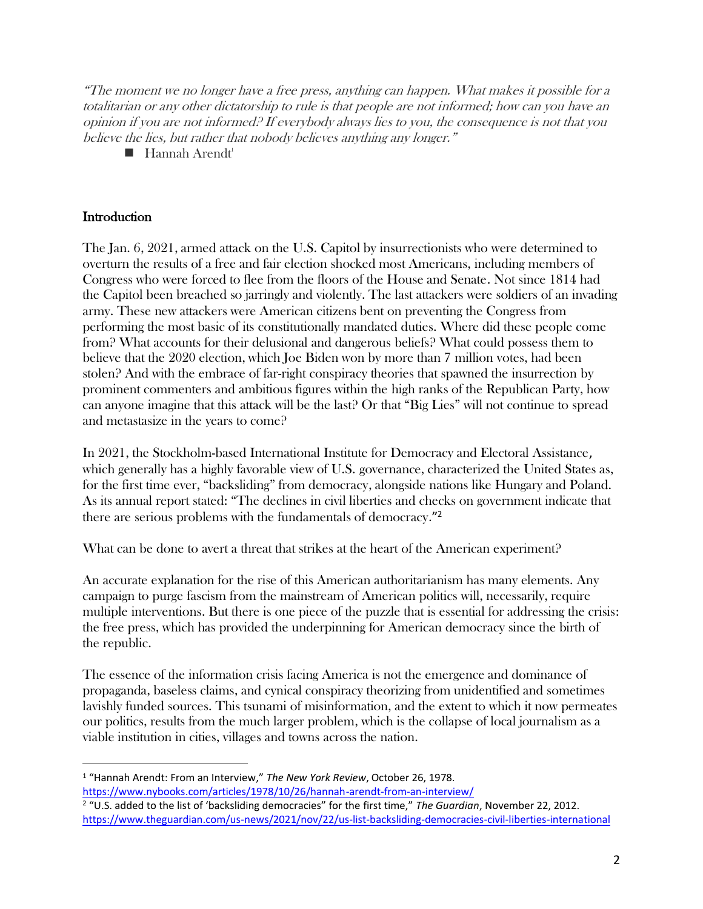"The moment we no longer have a free press, anything can happen. What makes it possible for a totalitarian or any other dictatorship to rule is that people are not informed; how can you have an opinion if you are not informed? If everybody always lies to you, the consequence is not that you believe the lies, but rather that nobody believes anything any longer."

 $\blacksquare$  Hannah Arendt<sup>1</sup>

## **Introduction**

The Jan. 6, 2021, armed attack on the U.S. Capitol by insurrectionists who were determined to overturn the results of a free and fair election shocked most Americans, including members of Congress who were forced to flee from the floors of the House and Senate. Not since 1814 had the Capitol been breached so jarringly and violently. The last attackers were soldiers of an invading army. These new attackers were American citizens bent on preventing the Congress from performing the most basic of its constitutionally mandated duties. Where did these people come from? What accounts for their delusional and dangerous beliefs? What could possess them to believe that the 2020 election, which Joe Biden won by more than 7 million votes, had been stolen? And with the embrace of far-right conspiracy theories that spawned the insurrection by prominent commenters and ambitious figures within the high ranks of the Republican Party, how can anyone imagine that this attack will be the last? Or that "Big Lies" will not continue to spread and metastasize in the years to come?

In 2021, the Stockholm-based International Institute for Democracy and Electoral Assistance, which generally has a highly favorable view of U.S. governance, characterized the United States as, for the first time ever, "backsliding" from democracy, alongside nations like Hungary and Poland. As its annual report stated: "The declines in civil liberties and checks on government indicate that there are serious problems with the fundamentals of democracy."<sup>2</sup>

What can be done to avert a threat that strikes at the heart of the American experiment?

An accurate explanation for the rise of this American authoritarianism has many elements. Any campaign to purge fascism from the mainstream of American politics will, necessarily, require multiple interventions. But there is one piece of the puzzle that is essential for addressing the crisis: the free press, which has provided the underpinning for American democracy since the birth of the republic.

The essence of the information crisis facing America is not the emergence and dominance of propaganda, baseless claims, and cynical conspiracy theorizing from unidentified and sometimes lavishly funded sources. This tsunami of misinformation, and the extent to which it now permeates our politics, results from the much larger problem, which is the collapse of local journalism as a viable institution in cities, villages and towns across the nation.

<sup>1</sup> "Hannah Arendt: From an Interview," *The New York Review*, October 26, 1978. <https://www.nybooks.com/articles/1978/10/26/hannah-arendt-from-an-interview/>

<sup>2</sup> "U.S. added to the list of 'backsliding democracies" for the first time," *The Guardian*, November 22, 2012. <https://www.theguardian.com/us-news/2021/nov/22/us-list-backsliding-democracies-civil-liberties-international>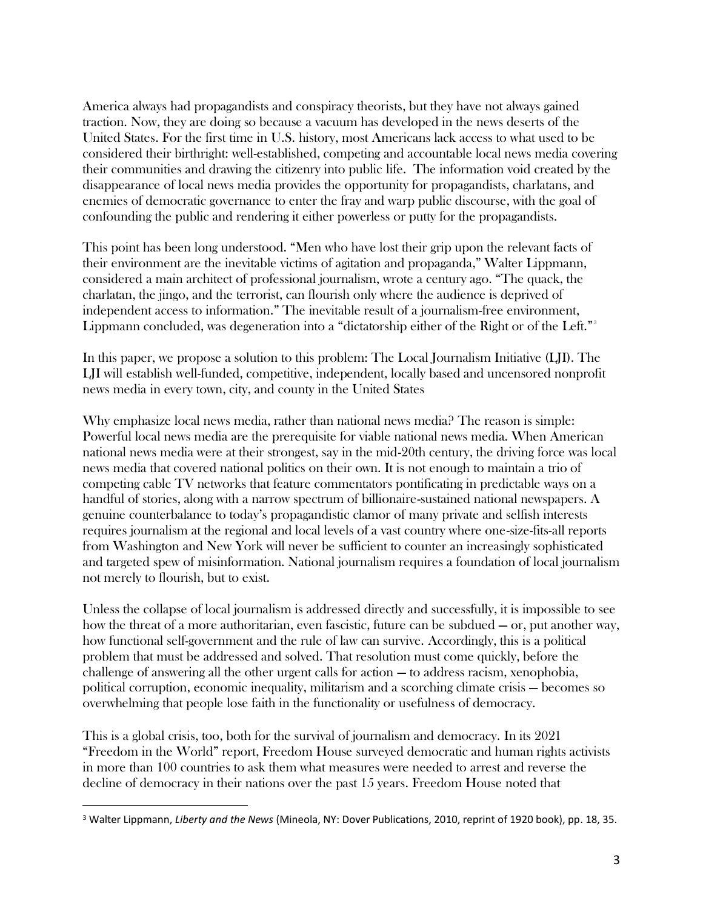America always had propagandists and conspiracy theorists, but they have not always gained traction. Now, they are doing so because a vacuum has developed in the news deserts of the United States. For the first time in U.S. history, most Americans lack access to what used to be considered their birthright: well-established, competing and accountable local news media covering their communities and drawing the citizenry into public life. The information void created by the disappearance of local news media provides the opportunity for propagandists, charlatans, and enemies of democratic governance to enter the fray and warp public discourse, with the goal of confounding the public and rendering it either powerless or putty for the propagandists.

This point has been long understood. "Men who have lost their grip upon the relevant facts of their environment are the inevitable victims of agitation and propaganda," Walter Lippmann, considered a main architect of professional journalism, wrote a century ago. "The quack, the charlatan, the jingo, and the terrorist, can flourish only where the audience is deprived of independent access to information." The inevitable result of a journalism-free environment, Lippmann concluded, was degeneration into a "dictatorship either of the Right or of the Left."<sup>3</sup>

In this paper, we propose a solution to this problem: The Local Journalism Initiative (LJI). The LJI will establish well-funded, competitive, independent, locally based and uncensored nonprofit news media in every town, city, and county in the United States

Why emphasize local news media, rather than national news media? The reason is simple: Powerful local news media are the prerequisite for viable national news media. When American national news media were at their strongest, say in the mid-20th century, the driving force was local news media that covered national politics on their own. It is not enough to maintain a trio of competing cable TV networks that feature commentators pontificating in predictable ways on a handful of stories, along with a narrow spectrum of billionaire-sustained national newspapers. A genuine counterbalance to today's propagandistic clamor of many private and selfish interests requires journalism at the regional and local levels of a vast country where one-size-fits-all reports from Washington and New York will never be sufficient to counter an increasingly sophisticated and targeted spew of misinformation. National journalism requires a foundation of local journalism not merely to flourish, but to exist.

Unless the collapse of local journalism is addressed directly and successfully, it is impossible to see how the threat of a more authoritarian, even fascistic, future can be subdued — or, put another way, how functional self-government and the rule of law can survive. Accordingly, this is a political problem that must be addressed and solved. That resolution must come quickly, before the challenge of answering all the other urgent calls for action — to address racism, xenophobia, political corruption, economic inequality, militarism and a scorching climate crisis — becomes so overwhelming that people lose faith in the functionality or usefulness of democracy.

This is a global crisis, too, both for the survival of journalism and democracy. In its 2021 "Freedom in the World" report, Freedom House surveyed democratic and human rights activists in more than 100 countries to ask them what measures were needed to arrest and reverse the decline of democracy in their nations over the past 15 years. Freedom House noted that

<sup>3</sup> Walter Lippmann, *Liberty and the News* (Mineola, NY: Dover Publications, 2010, reprint of 1920 book), pp. 18, 35.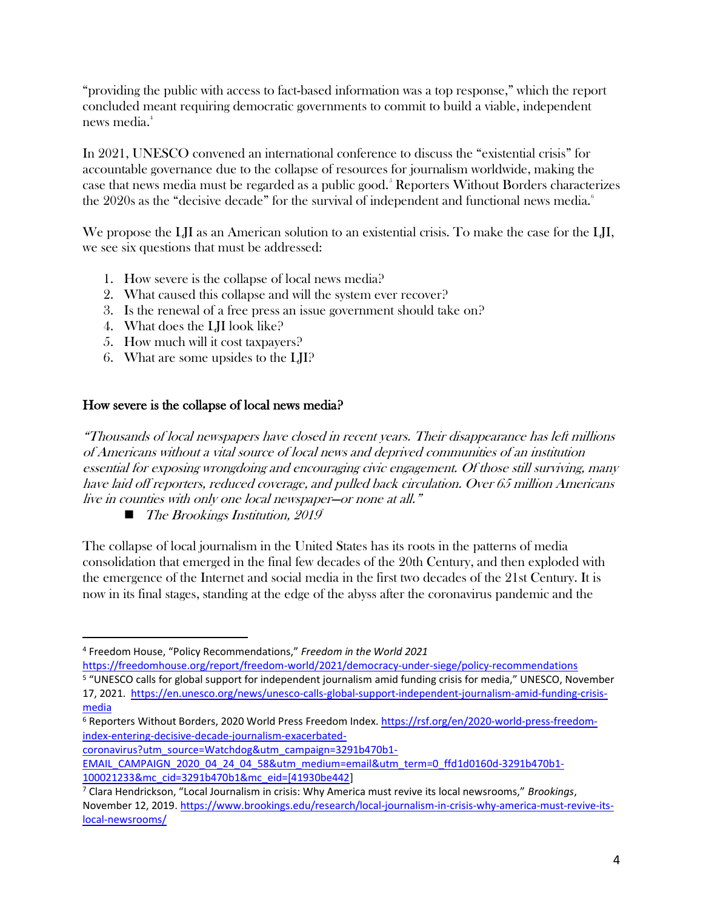"providing the public with access to fact-based information was a top response," which the report concluded meant requiring democratic governments to commit to build a viable, independent news media.<sup>4</sup>

In 2021, UNESCO convened an international conference to discuss the "existential crisis" for accountable governance due to the collapse of resources for journalism worldwide, making the case that news media must be regarded as a public good.<sup>5</sup> Reporters Without Borders characterizes the 2020s as the "decisive decade" for the survival of independent and functional news media.<sup>6</sup>

We propose the LJI as an American solution to an existential crisis. To make the case for the LJI, we see six questions that must be addressed:

- 1. How severe is the collapse of local news media?
- 2. What caused this collapse and will the system ever recover?
- 3. Is the renewal of a free press an issue government should take on?
- 4. What does the LJI look like?
- 5. How much will it cost taxpayers?
- 6. What are some upsides to the LJI?

#### How severe is the collapse of local news media?

"Thousands of local newspapers have closed in recent years. Their disappearance has left millions of Americans without a vital source of local news and deprived communities of an institution essential for exposing wrongdoing and encouraging civic engagement. Of those still surviving, many have laid off reporters, reduced coverage, and pulled back circulation. Over 65 million Americans live in counties with only one local newspaper—or none at all."

■ The Brookings Institution, 2019

The collapse of local journalism in the United States has its roots in the patterns of media consolidation that emerged in the final few decades of the 20th Century, and then exploded with the emergence of the Internet and social media in the first two decades of the 21st Century. It is now in its final stages, standing at the edge of the abyss after the coronavirus pandemic and the

<https://freedomhouse.org/report/freedom-world/2021/democracy-under-siege/policy-recommendations> <sup>5</sup> "UNESCO calls for global support for independent journalism amid funding crisis for media," UNESCO, November

[coronavirus?utm\\_source=Watchdog&utm\\_campaign=3291b470b1-](https://rsf.org/en/2020-world-press-freedom-index-entering-decisive-decade-journalism-exacerbated-coronavirus?utm_source=Watchdog&utm_campaign=3291b470b1-EMAIL_CAMPAIGN_2020_04_24_04_58&utm_medium=email&utm_term=0_ffd1d0160d-3291b470b1-100021233&mc_cid=3291b470b1&mc_eid=%5b41930be442)

<sup>4</sup> Freedom House, "Policy Recommendations," *Freedom in the World 2021*

<sup>17, 2021.</sup> [https://en.unesco.org/news/unesco-calls-global-support-independent-journalism-amid-funding-crisis](https://en.unesco.org/news/unesco-calls-global-support-independent-journalism-amid-funding-crisis-media)[media](https://en.unesco.org/news/unesco-calls-global-support-independent-journalism-amid-funding-crisis-media)

<sup>6</sup> Reporters Without Borders, 2020 World Press Freedom Index. [https://rsf.org/en/2020-world-press-freedom](https://rsf.org/en/2020-world-press-freedom-index-entering-decisive-decade-journalism-exacerbated-coronavirus?utm_source=Watchdog&utm_campaign=3291b470b1-EMAIL_CAMPAIGN_2020_04_24_04_58&utm_medium=email&utm_term=0_ffd1d0160d-3291b470b1-100021233&mc_cid=3291b470b1&mc_eid=%5b41930be442)[index-entering-decisive-decade-journalism-exacerbated-](https://rsf.org/en/2020-world-press-freedom-index-entering-decisive-decade-journalism-exacerbated-coronavirus?utm_source=Watchdog&utm_campaign=3291b470b1-EMAIL_CAMPAIGN_2020_04_24_04_58&utm_medium=email&utm_term=0_ffd1d0160d-3291b470b1-100021233&mc_cid=3291b470b1&mc_eid=%5b41930be442)

[EMAIL\\_CAMPAIGN\\_2020\\_04\\_24\\_04\\_58&utm\\_medium=email&utm\\_term=0\\_ffd1d0160d-3291b470b1-](https://rsf.org/en/2020-world-press-freedom-index-entering-decisive-decade-journalism-exacerbated-coronavirus?utm_source=Watchdog&utm_campaign=3291b470b1-EMAIL_CAMPAIGN_2020_04_24_04_58&utm_medium=email&utm_term=0_ffd1d0160d-3291b470b1-100021233&mc_cid=3291b470b1&mc_eid=%5b41930be442) [100021233&mc\\_cid=3291b470b1&mc\\_eid=\[41930be442\]](https://rsf.org/en/2020-world-press-freedom-index-entering-decisive-decade-journalism-exacerbated-coronavirus?utm_source=Watchdog&utm_campaign=3291b470b1-EMAIL_CAMPAIGN_2020_04_24_04_58&utm_medium=email&utm_term=0_ffd1d0160d-3291b470b1-100021233&mc_cid=3291b470b1&mc_eid=%5b41930be442)

<sup>7</sup> Clara Hendrickson, "Local Journalism in crisis: Why America must revive its local newsrooms," *Brookings*, November 12, 2019. [https://www.brookings.edu/research/local-journalism-in-crisis-why-america-must-revive-its](https://www.brookings.edu/research/local-journalism-in-crisis-why-america-must-revive-its-local-newsrooms/)[local-newsrooms/](https://www.brookings.edu/research/local-journalism-in-crisis-why-america-must-revive-its-local-newsrooms/)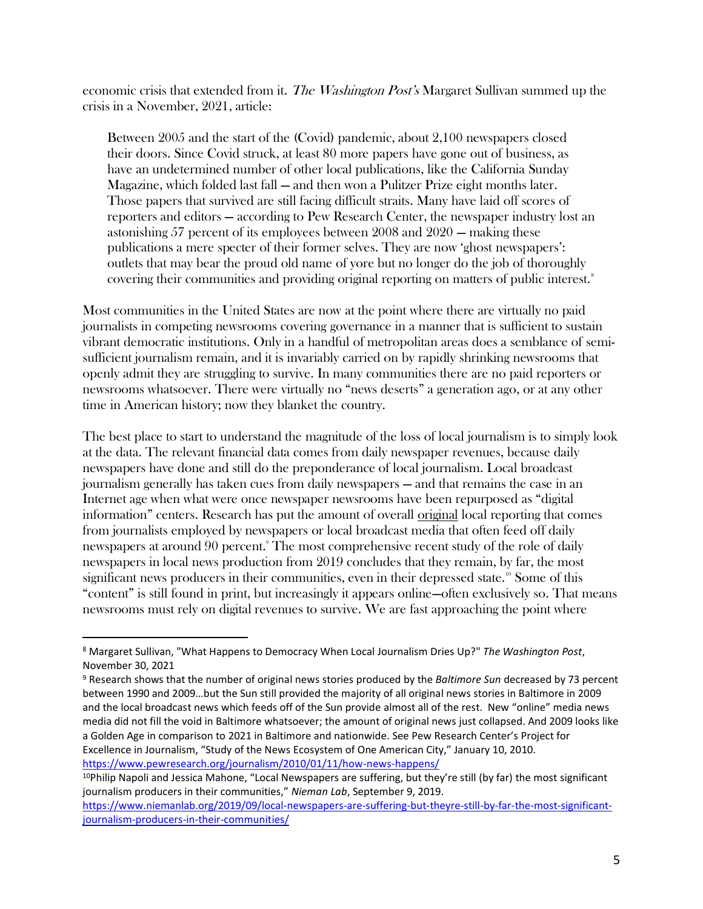economic crisis that extended from it. The Washington Post's Margaret Sullivan summed up the crisis in a November, 2021, article:

Between 2005 and the start of the (Covid) pandemic, about 2,100 newspapers closed their doors. Since Covid struck, at least 80 more papers have gone out of business, as have an undetermined number of other local publications, like the California Sunday Magazine, which folded last fall — and then won a Pulitzer Prize eight months later. Those papers that survived are still facing difficult straits. Many have laid off scores of reporters and editors — according to Pew Research Center, the newspaper industry lost an astonishing 57 percent of its employees between 2008 and 2020 — making these publications a mere specter of their former selves. They are now 'ghost newspapers': outlets that may bear the proud old name of yore but no longer do the job of thoroughly covering their communities and providing original reporting on matters of public interest.<sup>8</sup>

Most communities in the United States are now at the point where there are virtually no paid journalists in competing newsrooms covering governance in a manner that is sufficient to sustain vibrant democratic institutions. Only in a handful of metropolitan areas does a semblance of semisufficient journalism remain, and it is invariably carried on by rapidly shrinking newsrooms that openly admit they are struggling to survive. In many communities there are no paid reporters or newsrooms whatsoever. There were virtually no "news deserts" a generation ago, or at any other time in American history; now they blanket the country.

The best place to start to understand the magnitude of the loss of local journalism is to simply look at the data. The relevant financial data comes from daily newspaper revenues, because daily newspapers have done and still do the preponderance of local journalism. Local broadcast journalism generally has taken cues from daily newspapers — and that remains the case in an Internet age when what were once newspaper newsrooms have been repurposed as "digital information" centers. Research has put the amount of overall original local reporting that comes from journalists employed by newspapers or local broadcast media that often feed off daily newspapers at around 90 percent.<sup>9</sup> The most comprehensive recent study of the role of daily newspapers in local news production from 2019 concludes that they remain, by far, the most significant news producers in their communities, even in their depressed state.<sup>10</sup> Some of this "content" is still found in print, but increasingly it appears online—often exclusively so. That means newsrooms must rely on digital revenues to survive. We are fast approaching the point where

<sup>8</sup> Margaret Sullivan, "What Happens to Democracy When Local Journalism Dries Up?" *The Washington Post*, November 30, 2021

<sup>9</sup> Research shows that the number of original news stories produced by the *Baltimore Sun* decreased by 73 percent between 1990 and 2009…but the Sun still provided the majority of all original news stories in Baltimore in 2009 and the local broadcast news which feeds off of the Sun provide almost all of the rest. New "online" media news media did not fill the void in Baltimore whatsoever; the amount of original news just collapsed. And 2009 looks like a Golden Age in comparison to 2021 in Baltimore and nationwide. See Pew Research Center's Project for Excellence in Journalism, "Study of the News Ecosystem of One American City," January 10, 2010. <https://www.pewresearch.org/journalism/2010/01/11/how-news-happens/>

 $10P$ hilip Napoli and Jessica Mahone, "Local Newspapers are suffering, but they're still (by far) the most significant journalism producers in their communities," *Nieman Lab*, September 9, 2019.

[https://www.niemanlab.org/2019/09/local-newspapers-are-suffering-but-theyre-still-by-far-the-most-significant](https://www.niemanlab.org/2019/09/local-newspapers-are-suffering-but-theyre-still-by-far-the-most-significant-journalism-producers-in-their-communities/)[journalism-producers-in-their-communities/](https://www.niemanlab.org/2019/09/local-newspapers-are-suffering-but-theyre-still-by-far-the-most-significant-journalism-producers-in-their-communities/)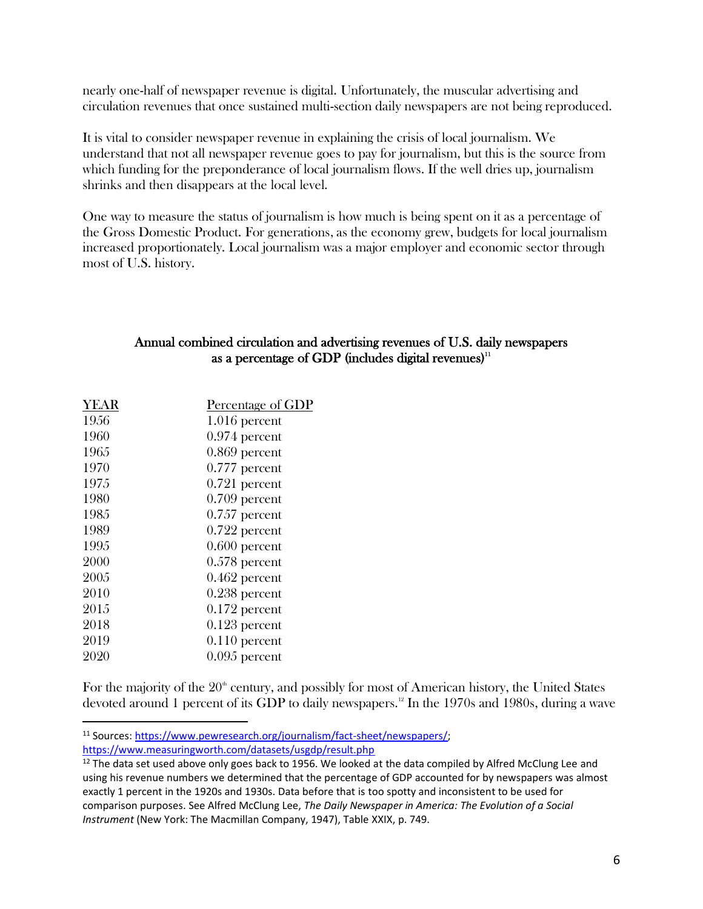nearly one-half of newspaper revenue is digital. Unfortunately, the muscular advertising and circulation revenues that once sustained multi-section daily newspapers are not being reproduced.

It is vital to consider newspaper revenue in explaining the crisis of local journalism. We understand that not all newspaper revenue goes to pay for journalism, but this is the source from which funding for the preponderance of local journalism flows. If the well dries up, journalism shrinks and then disappears at the local level.

One way to measure the status of journalism is how much is being spent on it as a percentage of the Gross Domestic Product. For generations, as the economy grew, budgets for local journalism increased proportionately. Local journalism was a major employer and economic sector through most of U.S. history.

#### Annual combined circulation and advertising revenues of U.S. daily newspapers as a percentage of GDP (includes digital revenues)<sup>11</sup>

| <b>YEAR</b> | Percentage of GDP |
|-------------|-------------------|
| 1956        | $1.016$ percent   |
| 1960        | $0.974$ percent   |
| 1965        | $0.869$ percent   |
| 1970        | $0.777$ percent   |
| 1975        | $0.721$ percent   |
| 1980        | $0.709$ percent   |
| 1985        | $0.757$ percent   |
| 1989        | $0.722$ percent   |
| 1995        | $0.600$ percent   |
| 2000        | $0.578$ percent   |
| 2005        | $0.462$ percent   |
| 2010        | $0.238$ percent   |
| 2015        | $0.172$ percent   |
| 2018        | $0.123$ percent   |
| 2019        | $0.110$ percent   |
| 2020        | $0.095$ percent   |
|             |                   |

For the majority of the  $20<sup>th</sup>$  century, and possibly for most of American history, the United States devoted around 1 percent of its GDP to daily newspapers.<sup>12</sup> In the 1970s and 1980s, during a wave

<sup>11</sup> Sources[: https://www.pewresearch.org/journalism/fact-sheet/newspapers/;](https://www.pewresearch.org/journalism/fact-sheet/newspapers/) <https://www.measuringworth.com/datasets/usgdp/result.php>

 $12$  The data set used above only goes back to 1956. We looked at the data compiled by Alfred McClung Lee and using his revenue numbers we determined that the percentage of GDP accounted for by newspapers was almost exactly 1 percent in the 1920s and 1930s. Data before that is too spotty and inconsistent to be used for comparison purposes. See Alfred McClung Lee, *The Daily Newspaper in America: The Evolution of a Social Instrument* (New York: The Macmillan Company, 1947), Table XXIX, p. 749.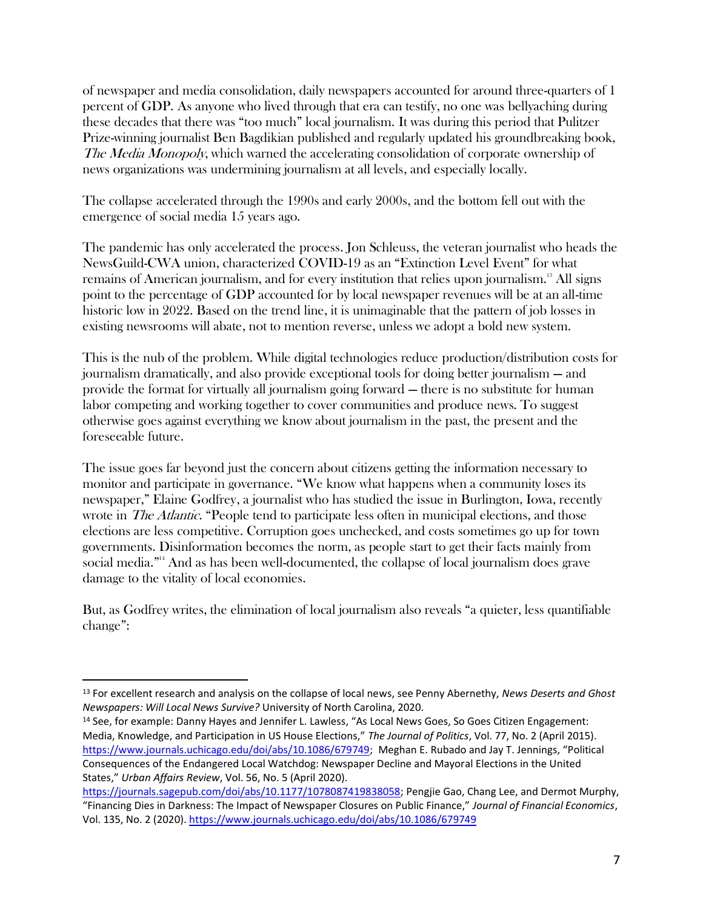of newspaper and media consolidation, daily newspapers accounted for around three-quarters of 1 percent of GDP. As anyone who lived through that era can testify, no one was bellyaching during these decades that there was "too much" local journalism. It was during this period that Pulitzer Prize-winning journalist Ben Bagdikian published and regularly updated his groundbreaking book, The Media Monopoly, which warned the accelerating consolidation of corporate ownership of news organizations was undermining journalism at all levels, and especially locally.

The collapse accelerated through the 1990s and early 2000s, and the bottom fell out with the emergence of social media 15 years ago.

The pandemic has only accelerated the process. Jon Schleuss, the veteran journalist who heads the NewsGuild-CWA union, characterized COVID-19 as an "Extinction Level Event" for what remains of American journalism, and for every institution that relies upon journalism.<sup>13</sup> All signs point to the percentage of GDP accounted for by local newspaper revenues will be at an all-time historic low in 2022. Based on the trend line, it is unimaginable that the pattern of job losses in existing newsrooms will abate, not to mention reverse, unless we adopt a bold new system.

This is the nub of the problem. While digital technologies reduce production/distribution costs for journalism dramatically, and also provide exceptional tools for doing better journalism — and provide the format for virtually all journalism going forward — there is no substitute for human labor competing and working together to cover communities and produce news. To suggest otherwise goes against everything we know about journalism in the past, the present and the foreseeable future.

The issue goes far beyond just the concern about citizens getting the information necessary to monitor and participate in governance. "We know what happens when a community loses its newspaper," Elaine Godfrey, a journalist who has studied the issue in Burlington, Iowa, recently wrote in *The Atlantic*. "People tend to participate less often in municipal elections, and those elections are less competitive. Corruption goes unchecked, and costs sometimes go up for town governments. Disinformation becomes the norm, as people start to get their facts mainly from social media."<sup>14</sup> And as has been well-documented, the collapse of local journalism does grave damage to the vitality of local economies.

But, as Godfrey writes, the elimination of local journalism also reveals "a quieter, less quantifiable change":

<sup>13</sup> For excellent research and analysis on the collapse of local news, see Penny Abernethy, *News Deserts and Ghost Newspapers: Will Local News Survive?* University of North Carolina, 2020.

<sup>&</sup>lt;sup>14</sup> See, for example: Danny Hayes and Jennifer L. Lawless, "As Local News Goes, So Goes Citizen Engagement: Media, Knowledge, and Participation in US House Elections," *The Journal of Politics*, Vol. 77, No. 2 (April 2015). [https://www.journals.uchicago.edu/doi/abs/10.1086/679749;](https://www.journals.uchicago.edu/doi/abs/10.1086/679749) Meghan E. Rubado and Jay T. Jennings, "Political Consequences of the Endangered Local Watchdog: Newspaper Decline and Mayoral Elections in the United States," *Urban Affairs Review*, Vol. 56, No. 5 (April 2020).

[https://journals.sagepub.com/doi/abs/10.1177/1078087419838058;](https://journals.sagepub.com/doi/abs/10.1177/1078087419838058) Pengjie Gao, Chang Lee, and Dermot Murphy, "Financing Dies in Darkness: The Impact of Newspaper Closures on Public Finance," *Journal of Financial Economics*, Vol. 135, No. 2 (2020).<https://www.journals.uchicago.edu/doi/abs/10.1086/679749>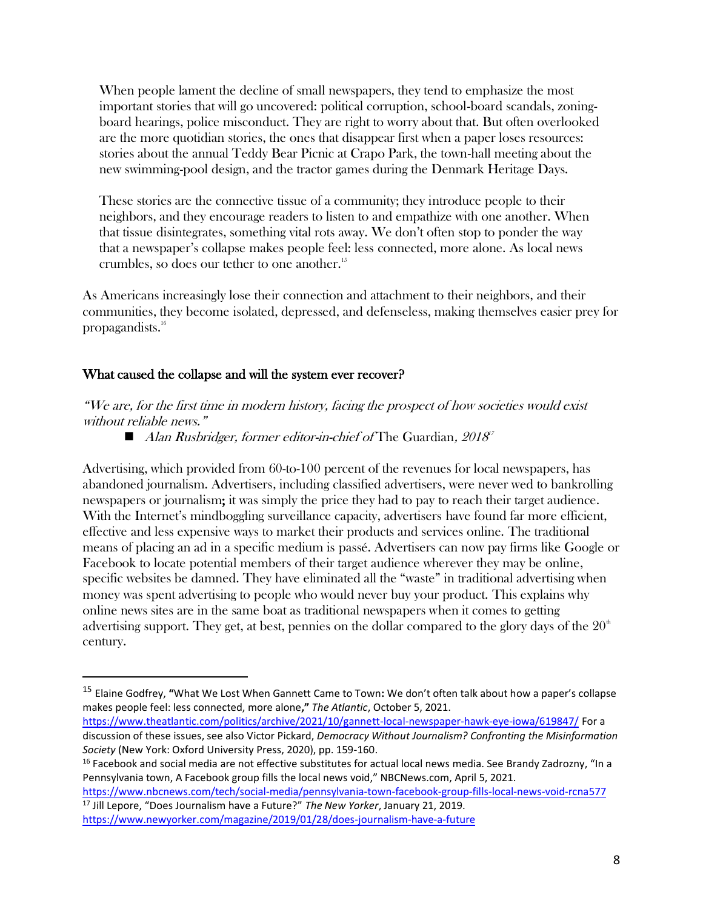When people lament the decline of small newspapers, they tend to emphasize the most important stories that will go uncovered: political corruption, school-board scandals, zoningboard hearings, police misconduct. They are right to worry about that. But often overlooked are the more quotidian stories, the ones that disappear first when a paper loses resources: stories about the annual Teddy Bear Picnic at Crapo Park, the town-hall meeting about the new swimming-pool design, and the tractor games during the Denmark Heritage Days.

These stories are the connective tissue of a community; they introduce people to their neighbors, and they encourage readers to listen to and empathize with one another. When that tissue disintegrates, something vital rots away. We don't often stop to ponder the way that a newspaper's collapse makes people feel: less connected, more alone. As local news crumbles, so does our tether to one another.<sup>15</sup>

As Americans increasingly lose their connection and attachment to their neighbors, and their communities, they become isolated, depressed, and defenseless, making themselves easier prey for propagandists.<sup>16</sup>

#### What caused the collapse and will the system ever recover?

"We are, for the first time in modern history, facing the prospect of how societies would exist without reliable news."

■ Alan Rusbridger, former editor-in-chief of The Guardian, 2018<sup>7</sup>

Advertising, which provided from 60-to-100 percent of the revenues for local newspapers, has abandoned journalism. Advertisers, including classified advertisers, were never wed to bankrolling newspapers or journalism; it was simply the price they had to pay to reach their target audience. With the Internet's mindboggling surveillance capacity, advertisers have found far more efficient, effective and less expensive ways to market their products and services online. The traditional means of placing an ad in a specific medium is passé. Advertisers can now pay firms like Google or Facebook to locate potential members of their target audience wherever they may be online, specific websites be damned. They have eliminated all the "waste" in traditional advertising when money was spent advertising to people who would never buy your product. This explains why online news sites are in the same boat as traditional newspapers when it comes to getting advertising support. They get, at best, pennies on the dollar compared to the glory days of the  $20<sup>th</sup>$ century.

<sup>15</sup> Elaine Godfrey, **"**What We Lost When Gannett Came to Town**:** We don't often talk about how a paper's collapse makes people feel: less connected, more alone**,"** *The Atlantic*, October 5, 2021.

<https://www.theatlantic.com/politics/archive/2021/10/gannett-local-newspaper-hawk-eye-iowa/619847/> For a discussion of these issues, see also Victor Pickard, *Democracy Without Journalism? Confronting the Misinformation Society* (New York: Oxford University Press, 2020), pp. 159-160.

<sup>&</sup>lt;sup>16</sup> Facebook and social media are not effective substitutes for actual local news media. See Brandy Zadrozny, "In a Pennsylvania town, A Facebook group fills the local news void," NBCNews.com, April 5, 2021.

<https://www.nbcnews.com/tech/social-media/pennsylvania-town-facebook-group-fills-local-news-void-rcna577> <sup>17</sup> Jill Lepore, "Does Journalism have a Future?" *The New Yorker*, January 21, 2019.

<https://www.newyorker.com/magazine/2019/01/28/does-journalism-have-a-future>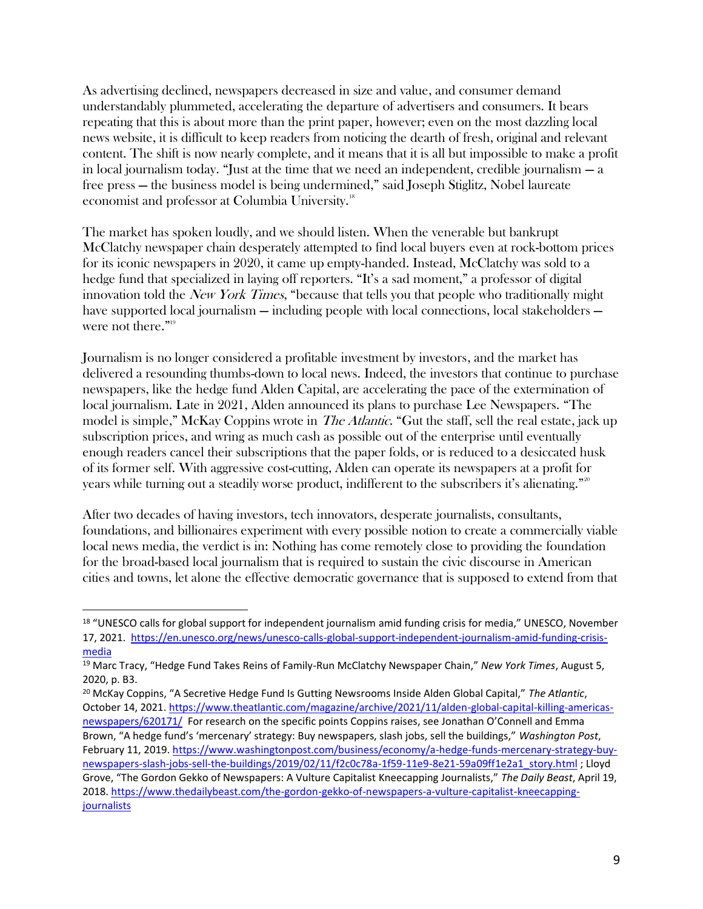As advertising declined, newspapers decreased in size and value, and consumer demand understandably plummeted, accelerating the departure of advertisers and consumers. It bears repeating that this is about more than the print paper, however; even on the most dazzling local news website, it is difficult to keep readers from noticing the dearth of fresh, original and relevant content. The shift is now nearly complete, and it means that it is all but impossible to make a profit in local journalism today. "Just at the time that we need an independent, credible journalism — a free press — the business model is being undermined," said Joseph Stiglitz, Nobel laureate economist and professor at Columbia University.<sup>18</sup>

The market has spoken loudly, and we should listen. When the venerable but bankrupt McClatchy newspaper chain desperately attempted to find local buyers even at rock-bottom prices for its iconic newspapers in 2020, it came up empty-handed. Instead, McClatchy was sold to a hedge fund that specialized in laying off reporters. "It's a sad moment," a professor of digital innovation told the *New York Times*, "because that tells you that people who traditionally might have supported local journalism — including people with local connections, local stakeholders were not there."<sup>19</sup>

Journalism is no longer considered a profitable investment by investors, and the market has delivered a resounding thumbs-down to local news. Indeed, the investors that continue to purchase newspapers, like the hedge fund Alden Capital, are accelerating the pace of the extermination of local journalism. Late in 2021, Alden announced its plans to purchase Lee Newspapers. "The model is simple," McKay Coppins wrote in *The Atlantic*. "Gut the staff, sell the real estate, jack up subscription prices, and wring as much cash as possible out of the enterprise until eventually enough readers cancel their subscriptions that the paper folds, or is reduced to a desiccated husk of its former self. With aggressive cost-cutting, Alden can operate its newspapers at a profit for years while turning out a steadily worse product, indifferent to the subscribers it's alienating."<sup>20</sup>

After two decades of having investors, tech innovators, desperate journalists, consultants, foundations, and billionaires experiment with every possible notion to create a commercially viable local news media, the verdict is in: Nothing has come remotely close to providing the foundation for the broad-based local journalism that is required to sustain the civic discourse in American cities and towns, let alone the effective democratic governance that is supposed to extend from that

<sup>&</sup>lt;sup>18</sup> "UNESCO calls for global support for independent journalism amid funding crisis for media," UNESCO, November 17, 2021. [https://en.unesco.org/news/unesco-calls-global-support-independent-journalism-amid-funding-crisis](https://en.unesco.org/news/unesco-calls-global-support-independent-journalism-amid-funding-crisis-media)[media](https://en.unesco.org/news/unesco-calls-global-support-independent-journalism-amid-funding-crisis-media)

<sup>19</sup> Marc Tracy, "Hedge Fund Takes Reins of Family-Run McClatchy Newspaper Chain," *New York Times*, August 5, 2020, p. B3.

<sup>20</sup> McKay Coppins, "A Secretive Hedge Fund Is Gutting Newsrooms Inside Alden Global Capital," *The Atlantic*, October 14, 2021. [https://www.theatlantic.com/magazine/archive/2021/11/alden-global-capital-killing-americas](https://www.theatlantic.com/magazine/archive/2021/11/alden-global-capital-killing-americas-newspapers/620171/)[newspapers/620171/](https://www.theatlantic.com/magazine/archive/2021/11/alden-global-capital-killing-americas-newspapers/620171/) For research on the specific points Coppins raises, see Jonathan O'Connell and Emma Brown, "A hedge fund's 'mercenary' strategy: Buy newspapers, slash jobs, sell the buildings," *Washington Post*, February 11, 2019[. https://www.washingtonpost.com/business/economy/a-hedge-funds-mercenary-strategy-buy](https://www.washingtonpost.com/business/economy/a-hedge-funds-mercenary-strategy-buy-newspapers-slash-jobs-sell-the-buildings/2019/02/11/f2c0c78a-1f59-11e9-8e21-59a09ff1e2a1_story.html)[newspapers-slash-jobs-sell-the-buildings/2019/02/11/f2c0c78a-1f59-11e9-8e21-59a09ff1e2a1\\_story.html](https://www.washingtonpost.com/business/economy/a-hedge-funds-mercenary-strategy-buy-newspapers-slash-jobs-sell-the-buildings/2019/02/11/f2c0c78a-1f59-11e9-8e21-59a09ff1e2a1_story.html) ; Lloyd Grove, "The Gordon Gekko of Newspapers: A Vulture Capitalist Kneecapping Journalists," *The Daily Beast*, April 19, 2018. [https://www.thedailybeast.com/the-gordon-gekko-of-newspapers-a-vulture-capitalist-kneecapping](https://www.thedailybeast.com/the-gordon-gekko-of-newspapers-a-vulture-capitalist-kneecapping-journalists)[journalists](https://www.thedailybeast.com/the-gordon-gekko-of-newspapers-a-vulture-capitalist-kneecapping-journalists)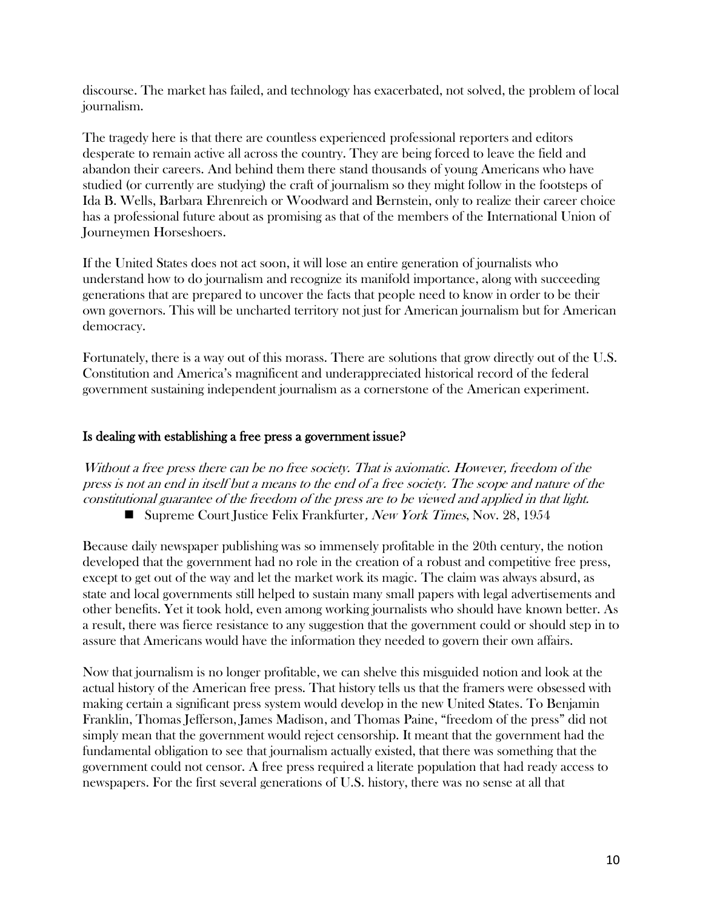discourse. The market has failed, and technology has exacerbated, not solved, the problem of local journalism.

The tragedy here is that there are countless experienced professional reporters and editors desperate to remain active all across the country. They are being forced to leave the field and abandon their careers. And behind them there stand thousands of young Americans who have studied (or currently are studying) the craft of journalism so they might follow in the footsteps of Ida B. Wells, Barbara Ehrenreich or Woodward and Bernstein, only to realize their career choice has a professional future about as promising as that of the members of the International Union of Journeymen Horseshoers.

If the United States does not act soon, it will lose an entire generation of journalists who understand how to do journalism and recognize its manifold importance, along with succeeding generations that are prepared to uncover the facts that people need to know in order to be their own governors. This will be uncharted territory not just for American journalism but for American democracy.

Fortunately, there is a way out of this morass. There are solutions that grow directly out of the U.S. Constitution and America's magnificent and underappreciated historical record of the federal government sustaining independent journalism as a cornerstone of the American experiment.

#### Is dealing with establishing a free press a government issue?

Without a free press there can be no free society. That is axiomatic. However, freedom of the press is not an end in itself but a means to the end of a free society. The scope and nature of the constitutional guarantee of the freedom of the press are to be viewed and applied in that light. ■ Supreme Court Justice Felix Frankfurter, *New York Times*, Nov. 28, 1954

Because daily newspaper publishing was so immensely profitable in the 20th century, the notion developed that the government had no role in the creation of a robust and competitive free press, except to get out of the way and let the market work its magic. The claim was always absurd, as state and local governments still helped to sustain many small papers with legal advertisements and other benefits. Yet it took hold, even among working journalists who should have known better. As a result, there was fierce resistance to any suggestion that the government could or should step in to assure that Americans would have the information they needed to govern their own affairs.

Now that journalism is no longer profitable, we can shelve this misguided notion and look at the actual history of the American free press. That history tells us that the framers were obsessed with making certain a significant press system would develop in the new United States. To Benjamin Franklin, Thomas Jefferson, James Madison, and Thomas Paine, "freedom of the press" did not simply mean that the government would reject censorship. It meant that the government had the fundamental obligation to see that journalism actually existed, that there was something that the government could not censor. A free press required a literate population that had ready access to newspapers. For the first several generations of U.S. history, there was no sense at all that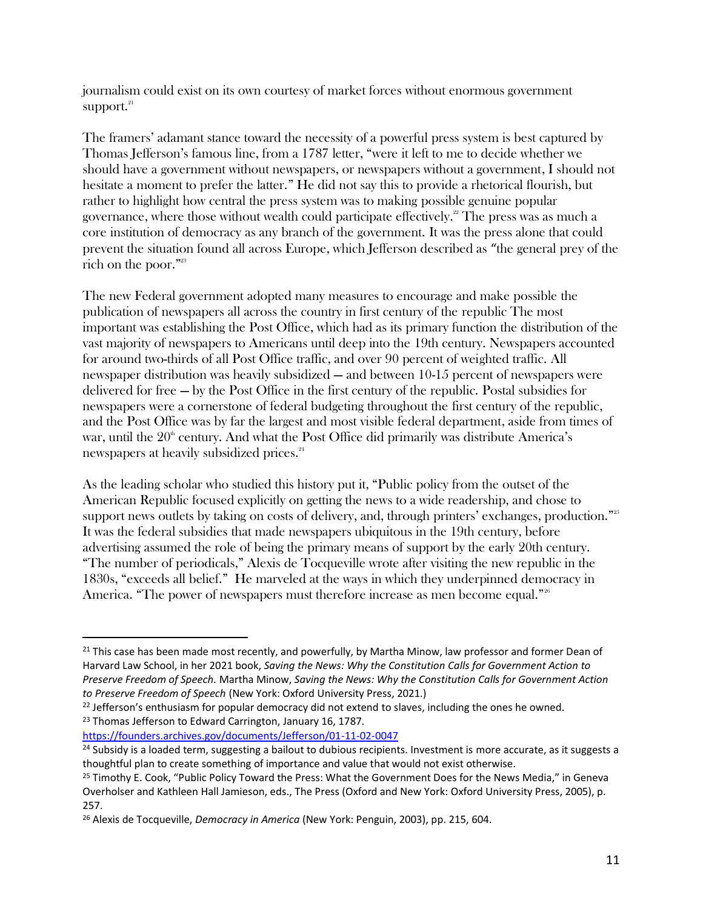journalism could exist on its own courtesy of market forces without enormous government support. 21

The framers' adamant stance toward the necessity of a powerful press system is best captured by Thomas Jefferson's famous line, from a 1787 letter, "were it left to me to decide whether we should have a government without newspapers, or newspapers without a government, I should not hesitate a moment to prefer the latter." He did not say this to provide a rhetorical flourish, but rather to highlight how central the press system was to making possible genuine popular governance, where those without wealth could participate effectively. $^{22}$  The press was as much a core institution of democracy as any branch of the government. It was the press alone that could prevent the situation found all across Europe, which Jefferson described as "the general prey of the rich on the poor."<sup>23</sup>

The new Federal government adopted many measures to encourage and make possible the publication of newspapers all across the country in first century of the republic The most important was establishing the Post Office, which had as its primary function the distribution of the vast majority of newspapers to Americans until deep into the 19th century. Newspapers accounted for around two-thirds of all Post Office traffic, and over 90 percent of weighted traffic. All newspaper distribution was heavily subsidized — and between 10-15 percent of newspapers were delivered for free — by the Post Office in the first century of the republic. Postal subsidies for newspapers were a cornerstone of federal budgeting throughout the first century of the republic, and the Post Office was by far the largest and most visible federal department, aside from times of war, until the  $20<sup>th</sup>$  century. And what the Post Office did primarily was distribute America's newspapers at heavily subsidized prices.<sup>24</sup>

As the leading scholar who studied this history put it, "Public policy from the outset of the American Republic focused explicitly on getting the news to a wide readership, and chose to support news outlets by taking on costs of delivery, and, through printers' exchanges, production."<sup>25</sup> It was the federal subsidies that made newspapers ubiquitous in the 19th century, before advertising assumed the role of being the primary means of support by the early 20th century. "The number of periodicals," Alexis de Tocqueville wrote after visiting the new republic in the 1830s, "exceeds all belief." He marveled at the ways in which they underpinned democracy in America. "The power of newspapers must therefore increase as men become equal."<sup>26</sup>

<https://founders.archives.gov/documents/Jefferson/01-11-02-0047>

<sup>&</sup>lt;sup>21</sup> This case has been made most recently, and powerfully, by Martha Minow, law professor and former Dean of Harvard Law School, in her 2021 book, *Saving the News: Why the Constitution Calls for Government Action to Preserve Freedom of Speech.* Martha Minow, *Saving the News: Why the Constitution Calls for Government Action to Preserve Freedom of Speech* (New York: Oxford University Press, 2021.)

 $22$  Jefferson's enthusiasm for popular democracy did not extend to slaves, including the ones he owned. <sup>23</sup> Thomas Jefferson to Edward Carrington, January 16, 1787.

<sup>&</sup>lt;sup>24</sup> Subsidy is a loaded term, suggesting a bailout to dubious recipients. Investment is more accurate, as it suggests a thoughtful plan to create something of importance and value that would not exist otherwise.

<sup>&</sup>lt;sup>25</sup> Timothy E. Cook, "Public Policy Toward the Press: What the Government Does for the News Media," in Geneva Overholser and Kathleen Hall Jamieson, eds., The Press (Oxford and New York: Oxford University Press, 2005), p. 257.

<sup>26</sup> Alexis de Tocqueville, *Democracy in America* (New York: Penguin, 2003), pp. 215, 604.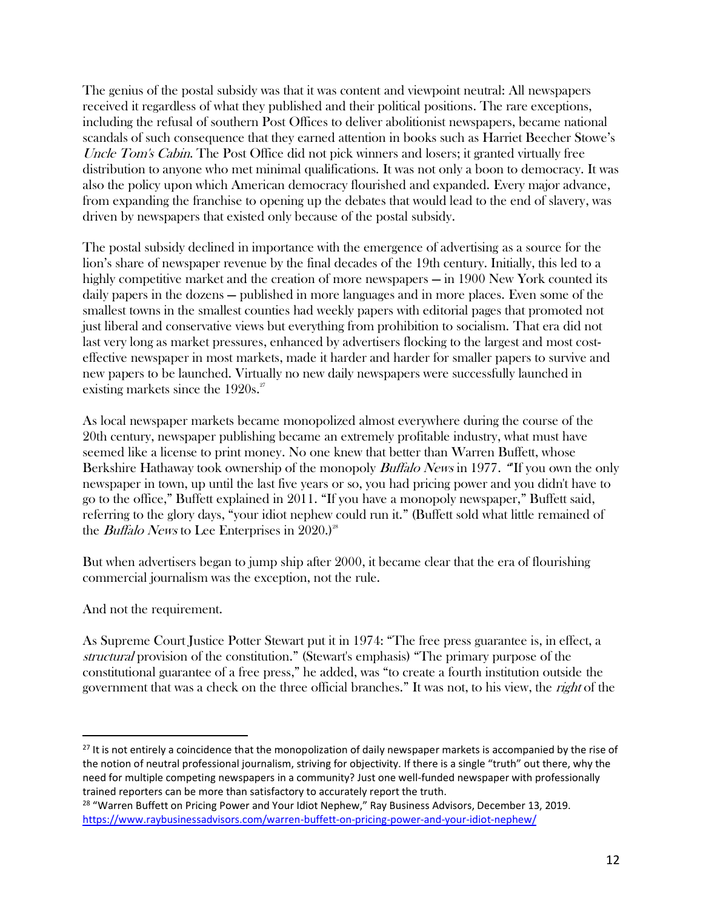The genius of the postal subsidy was that it was content and viewpoint neutral: All newspapers received it regardless of what they published and their political positions. The rare exceptions, including the refusal of southern Post Offices to deliver abolitionist newspapers, became national scandals of such consequence that they earned attention in books such as Harriet Beecher Stowe's Uncle Tom's Cabin. The Post Office did not pick winners and losers; it granted virtually free distribution to anyone who met minimal qualifications. It was not only a boon to democracy. It was also the policy upon which American democracy flourished and expanded. Every major advance, from expanding the franchise to opening up the debates that would lead to the end of slavery, was driven by newspapers that existed only because of the postal subsidy.

The postal subsidy declined in importance with the emergence of advertising as a source for the lion's share of newspaper revenue by the final decades of the 19th century. Initially, this led to a highly competitive market and the creation of more newspapers — in 1900 New York counted its daily papers in the dozens — published in more languages and in more places. Even some of the smallest towns in the smallest counties had weekly papers with editorial pages that promoted not just liberal and conservative views but everything from prohibition to socialism. That era did not last very long as market pressures, enhanced by advertisers flocking to the largest and most costeffective newspaper in most markets, made it harder and harder for smaller papers to survive and new papers to be launched. Virtually no new daily newspapers were successfully launched in existing markets since the  $1920s.^{27}$ 

As local newspaper markets became monopolized almost everywhere during the course of the 20th century, newspaper publishing became an extremely profitable industry, what must have seemed like a license to print money. No one knew that better than Warren Buffett, whose Berkshire Hathaway took ownership of the monopoly *Buffalo News* in 1977. "If you own the only newspaper in town, up until the last five years or so, you had pricing power and you didn't have to go to the office," Buffett explained in 2011. "If you have a monopoly newspaper," Buffett said, referring to the glory days, "your idiot nephew could run it." (Buffett sold what little remained of the *Buffalo News* to Lee Enterprises in  $2020$ .)<sup>28</sup>

But when advertisers began to jump ship after 2000, it became clear that the era of flourishing commercial journalism was the exception, not the rule.

And not the requirement.

As Supreme Court Justice Potter Stewart put it in 1974: "The free press guarantee is, in effect, a structural provision of the constitution." (Stewart's emphasis) "The primary purpose of the constitutional guarantee of a free press," he added, was "to create a fourth institution outside the government that was a check on the three official branches." It was not, to his view, the right of the

<sup>&</sup>lt;sup>27</sup> It is not entirely a coincidence that the monopolization of daily newspaper markets is accompanied by the rise of the notion of neutral professional journalism, striving for objectivity. If there is a single "truth" out there, why the need for multiple competing newspapers in a community? Just one well-funded newspaper with professionally trained reporters can be more than satisfactory to accurately report the truth.

<sup>&</sup>lt;sup>28</sup> "Warren Buffett on Pricing Power and Your Idiot Nephew," Ray Business Advisors, December 13, 2019. <https://www.raybusinessadvisors.com/warren-buffett-on-pricing-power-and-your-idiot-nephew/>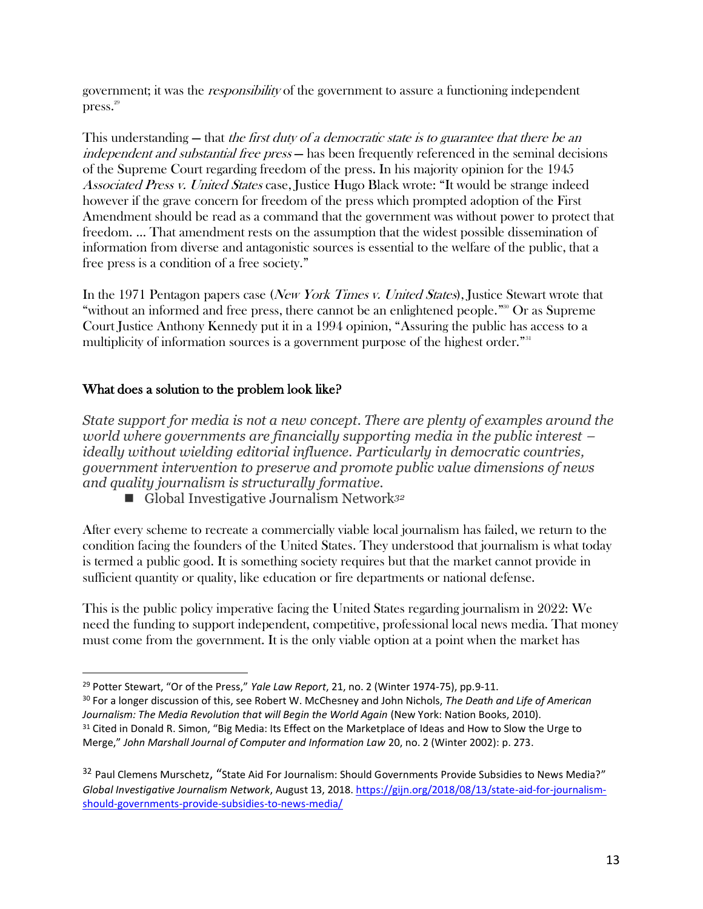government; it was the responsibility of the government to assure a functioning independent press. 29

This understanding — that the first duty of a democratic state is to guarantee that there be an independent and substantial free press – has been frequently referenced in the seminal decisions of the Supreme Court regarding freedom of the press. In his majority opinion for the 1945 Associated Press v. United States case, Justice Hugo Black wrote: "It would be strange indeed however if the grave concern for freedom of the press which prompted adoption of the First Amendment should be read as a command that the government was without power to protect that freedom. … That amendment rests on the assumption that the widest possible dissemination of information from diverse and antagonistic sources is essential to the welfare of the public, that a free press is a condition of a free society."

In the 1971 Pentagon papers case (New York Times v. United States), Justice Stewart wrote that "without an informed and free press, there cannot be an enlightened people."<sup>30</sup> Or as Supreme Court Justice Anthony Kennedy put it in a 1994 opinion, "Assuring the public has access to a multiplicity of information sources is a government purpose of the highest order."<sup>31</sup>

## What does a solution to the problem look like?

*State support for media is not a new concept. There are plenty of examples around the world where governments are financially supporting media in the public interest – ideally without wielding editorial influence. Particularly in democratic countries, government intervention to preserve and promote public value dimensions of news and quality journalism is structurally formative.*

■ Global Investigative Journalism Network<sup>32</sup>

After every scheme to recreate a commercially viable local journalism has failed, we return to the condition facing the founders of the United States. They understood that journalism is what today is termed a public good. It is something society requires but that the market cannot provide in sufficient quantity or quality, like education or fire departments or national defense.

This is the public policy imperative facing the United States regarding journalism in 2022: We need the funding to support independent, competitive, professional local news media. That money must come from the government. It is the only viable option at a point when the market has

<sup>29</sup> Potter Stewart, "Or of the Press," *Yale Law Report*, 21, no. 2 (Winter 1974-75), pp.9-11.

<sup>30</sup> For a longer discussion of this, see Robert W. McChesney and John Nichols, *The Death and Life of American Journalism: The Media Revolution that will Begin the World Again* (New York: Nation Books, 2010).

<sup>&</sup>lt;sup>31</sup> Cited in Donald R. Simon, "Big Media: Its Effect on the Marketplace of Ideas and How to Slow the Urge to Merge," *John Marshall Journal of Computer and Information Law* 20, no. 2 (Winter 2002): p. 273.

<sup>&</sup>lt;sup>32</sup> Paul Clemens Murschetz, "State Aid For Journalism: Should Governments Provide Subsidies to News Media?" *Global Investigative Journalism Network*, August 13, 2018. [https://gijn.org/2018/08/13/state-aid-for-journalism](https://gijn.org/2018/08/13/state-aid-for-journalism-should-governments-provide-subsidies-to-news-media/)[should-governments-provide-subsidies-to-news-media/](https://gijn.org/2018/08/13/state-aid-for-journalism-should-governments-provide-subsidies-to-news-media/)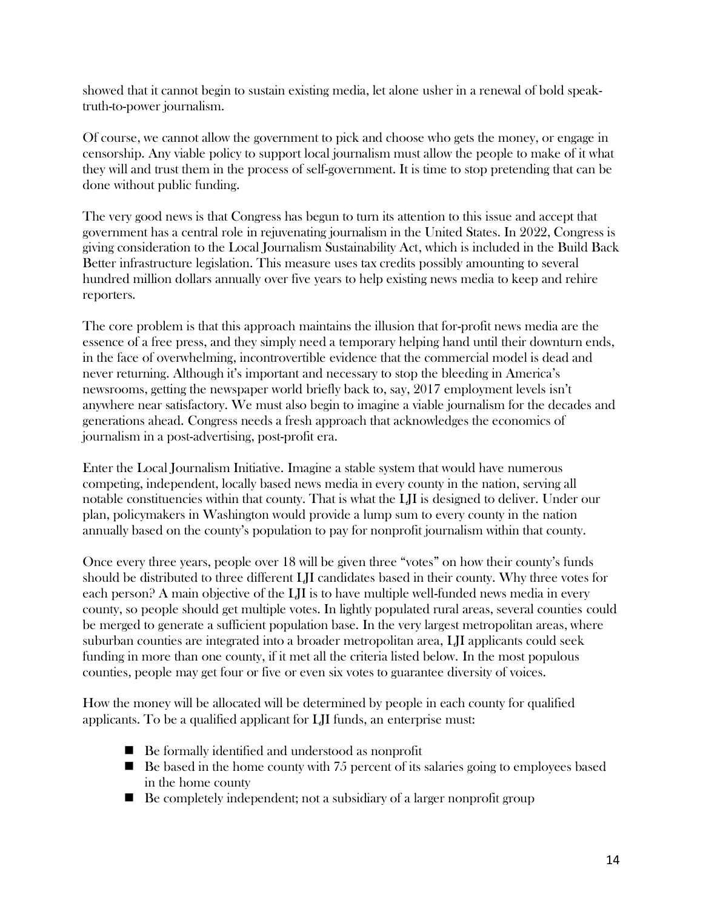showed that it cannot begin to sustain existing media, let alone usher in a renewal of bold speaktruth-to-power journalism.

Of course, we cannot allow the government to pick and choose who gets the money, or engage in censorship. Any viable policy to support local journalism must allow the people to make of it what they will and trust them in the process of self-government. It is time to stop pretending that can be done without public funding.

The very good news is that Congress has begun to turn its attention to this issue and accept that government has a central role in rejuvenating journalism in the United States. In 2022, Congress is giving consideration to the Local Journalism Sustainability Act, which is included in the Build Back Better infrastructure legislation. This measure uses tax credits possibly amounting to several hundred million dollars annually over five years to help existing news media to keep and rehire reporters.

The core problem is that this approach maintains the illusion that for-profit news media are the essence of a free press, and they simply need a temporary helping hand until their downturn ends, in the face of overwhelming, incontrovertible evidence that the commercial model is dead and never returning. Although it's important and necessary to stop the bleeding in America's newsrooms, getting the newspaper world briefly back to, say, 2017 employment levels isn't anywhere near satisfactory. We must also begin to imagine a viable journalism for the decades and generations ahead. Congress needs a fresh approach that acknowledges the economics of journalism in a post-advertising, post-profit era.

Enter the Local Journalism Initiative. Imagine a stable system that would have numerous competing, independent, locally based news media in every county in the nation, serving all notable constituencies within that county. That is what the LJI is designed to deliver. Under our plan, policymakers in Washington would provide a lump sum to every county in the nation annually based on the county's population to pay for nonprofit journalism within that county.

Once every three years, people over 18 will be given three "votes" on how their county's funds should be distributed to three different LJI candidates based in their county. Why three votes for each person? A main objective of the LJI is to have multiple well-funded news media in every county, so people should get multiple votes. In lightly populated rural areas, several counties could be merged to generate a sufficient population base. In the very largest metropolitan areas, where suburban counties are integrated into a broader metropolitan area, LJI applicants could seek funding in more than one county, if it met all the criteria listed below. In the most populous counties, people may get four or five or even six votes to guarantee diversity of voices.

How the money will be allocated will be determined by people in each county for qualified applicants. To be a qualified applicant for LJI funds, an enterprise must:

- Be formally identified and understood as nonprofit
- $\blacksquare$  Be based in the home county with 75 percent of its salaries going to employees based in the home county
- Be completely independent; not a subsidiary of a larger nonprofit group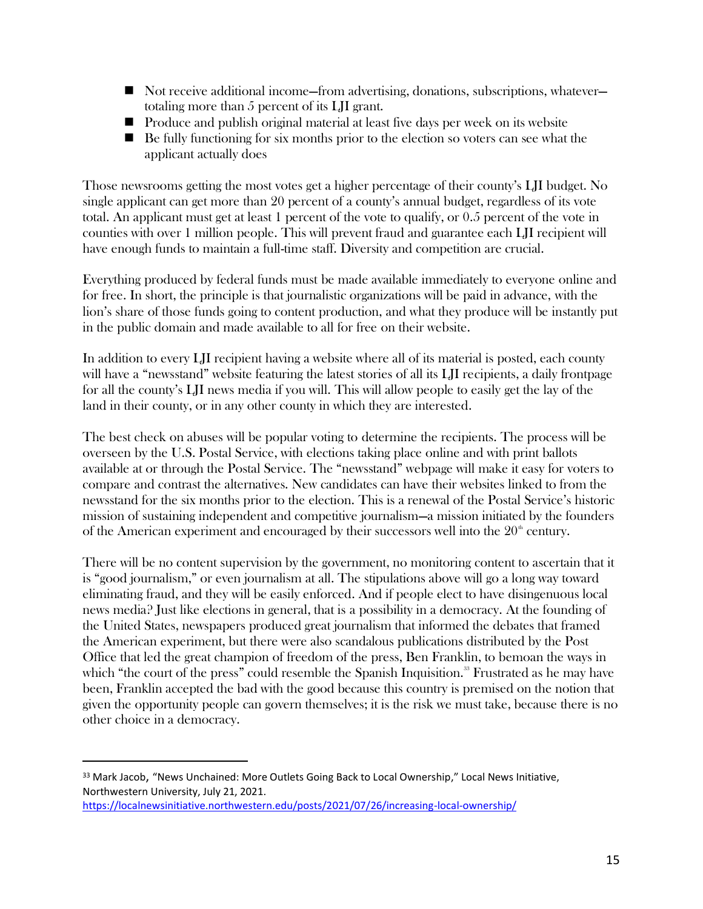- Not receive additional income—from advertising, donations, subscriptions, whatever totaling more than 5 percent of its LJI grant.
- Produce and publish original material at least five days per week on its website
- $\blacksquare$  Be fully functioning for six months prior to the election so voters can see what the applicant actually does

Those newsrooms getting the most votes get a higher percentage of their county's LJI budget. No single applicant can get more than 20 percent of a county's annual budget, regardless of its vote total. An applicant must get at least 1 percent of the vote to qualify, or 0.5 percent of the vote in counties with over 1 million people. This will prevent fraud and guarantee each LJI recipient will have enough funds to maintain a full-time staff. Diversity and competition are crucial.

Everything produced by federal funds must be made available immediately to everyone online and for free. In short, the principle is that journalistic organizations will be paid in advance, with the lion's share of those funds going to content production, and what they produce will be instantly put in the public domain and made available to all for free on their website.

In addition to every LJI recipient having a website where all of its material is posted, each county will have a "newsstand" website featuring the latest stories of all its LII recipients, a daily frontpage for all the county's LJI news media if you will. This will allow people to easily get the lay of the land in their county, or in any other county in which they are interested.

The best check on abuses will be popular voting to determine the recipients. The process will be overseen by the U.S. Postal Service, with elections taking place online and with print ballots available at or through the Postal Service. The "newsstand" webpage will make it easy for voters to compare and contrast the alternatives. New candidates can have their websites linked to from the newsstand for the six months prior to the election. This is a renewal of the Postal Service's historic mission of sustaining independent and competitive journalism—a mission initiated by the founders of the American experiment and encouraged by their successors well into the  $20<sup>th</sup>$  century.

There will be no content supervision by the government, no monitoring content to ascertain that it is "good journalism," or even journalism at all. The stipulations above will go a long way toward eliminating fraud, and they will be easily enforced. And if people elect to have disingenuous local news media? Just like elections in general, that is a possibility in a democracy. At the founding of the United States, newspapers produced great journalism that informed the debates that framed the American experiment, but there were also scandalous publications distributed by the Post Office that led the great champion of freedom of the press, Ben Franklin, to bemoan the ways in which "the court of the press" could resemble the Spanish Inquisition.<sup>33</sup> Frustrated as he may have been, Franklin accepted the bad with the good because this country is premised on the notion that given the opportunity people can govern themselves; it is the risk we must take, because there is no other choice in a democracy.

<sup>&</sup>lt;sup>33</sup> Mark Jacob, "News Unchained: More Outlets Going Back to Local Ownership," Local News Initiative, Northwestern University, July 21, 2021.

<https://localnewsinitiative.northwestern.edu/posts/2021/07/26/increasing-local-ownership/>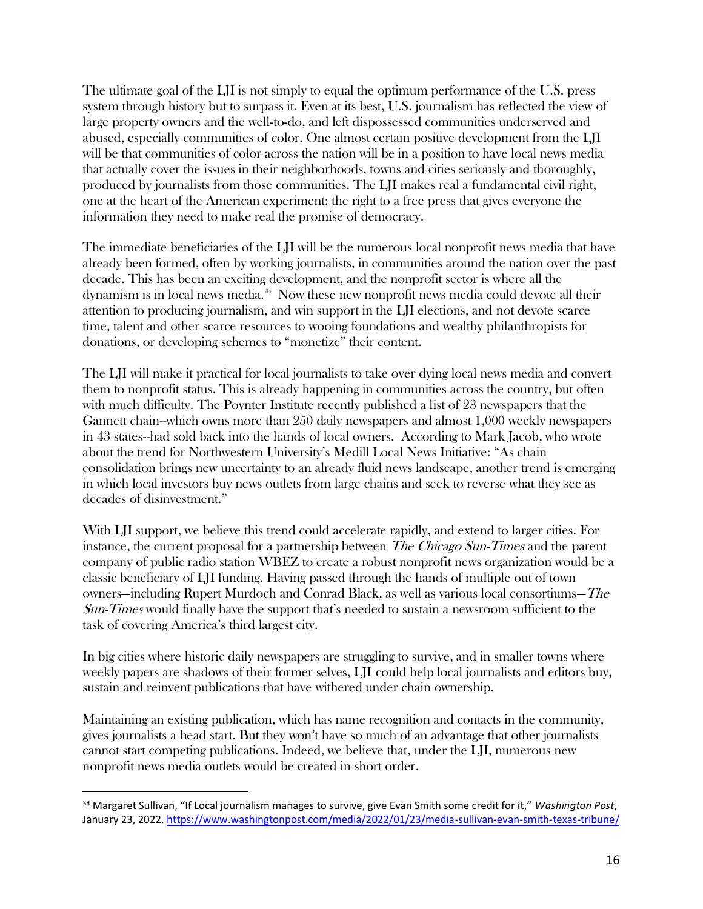The ultimate goal of the LJI is not simply to equal the optimum performance of the U.S. press system through history but to surpass it. Even at its best, U.S. journalism has reflected the view of large property owners and the well-to-do, and left dispossessed communities underserved and abused, especially communities of color. One almost certain positive development from the LJI will be that communities of color across the nation will be in a position to have local news media that actually cover the issues in their neighborhoods, towns and cities seriously and thoroughly, produced by journalists from those communities. The LJI makes real a fundamental civil right, one at the heart of the American experiment: the right to a free press that gives everyone the information they need to make real the promise of democracy.

The immediate beneficiaries of the LJI will be the numerous local nonprofit news media that have already been formed, often by working journalists, in communities around the nation over the past decade. This has been an exciting development, and the nonprofit sector is where all the dynamism is in local news media. <sup>34</sup> Now these new nonprofit news media could devote all their attention to producing journalism, and win support in the LJI elections, and not devote scarce time, talent and other scarce resources to wooing foundations and wealthy philanthropists for donations, or developing schemes to "monetize" their content.

The LJI will make it practical for local journalists to take over dying local news media and convert them to nonprofit status. This is already happening in communities across the country, but often with much difficulty. The Poynter Institute recently published a list of 23 newspapers that the Gannett chain--which owns more than 250 daily newspapers and almost 1,000 weekly newspapers in 43 states--had sold back into the hands of local owners. According to Mark Jacob, who wrote about the trend for Northwestern University's Medill Local News Initiative: "As chain consolidation brings new uncertainty to an already fluid news landscape, another trend is emerging in which local investors buy news outlets from large chains and seek to reverse what they see as decades of disinvestment."

With LII support, we believe this trend could accelerate rapidly, and extend to larger cities. For instance, the current proposal for a partnership between *The Chicago Sun-Times* and the parent company of public radio station WBEZ to create a robust nonprofit news organization would be a classic beneficiary of LJI funding. Having passed through the hands of multiple out of town owners—including Rupert Murdoch and Conrad Black, as well as various local consortiums—The Sun-Times would finally have the support that's needed to sustain a newsroom sufficient to the task of covering America's third largest city.

In big cities where historic daily newspapers are struggling to survive, and in smaller towns where weekly papers are shadows of their former selves, LJI could help local journalists and editors buy, sustain and reinvent publications that have withered under chain ownership.

Maintaining an existing publication, which has name recognition and contacts in the community, gives journalists a head start. But they won't have so much of an advantage that other journalists cannot start competing publications. Indeed, we believe that, under the LJI, numerous new nonprofit news media outlets would be created in short order.

<sup>34</sup> Margaret Sullivan, "If Local journalism manages to survive, give Evan Smith some credit for it," *Washington Post*, January 23, 2022[. https://www.washingtonpost.com/media/2022/01/23/media-sullivan-evan-smith-texas-tribune/](https://www.washingtonpost.com/media/2022/01/23/media-sullivan-evan-smith-texas-tribune/)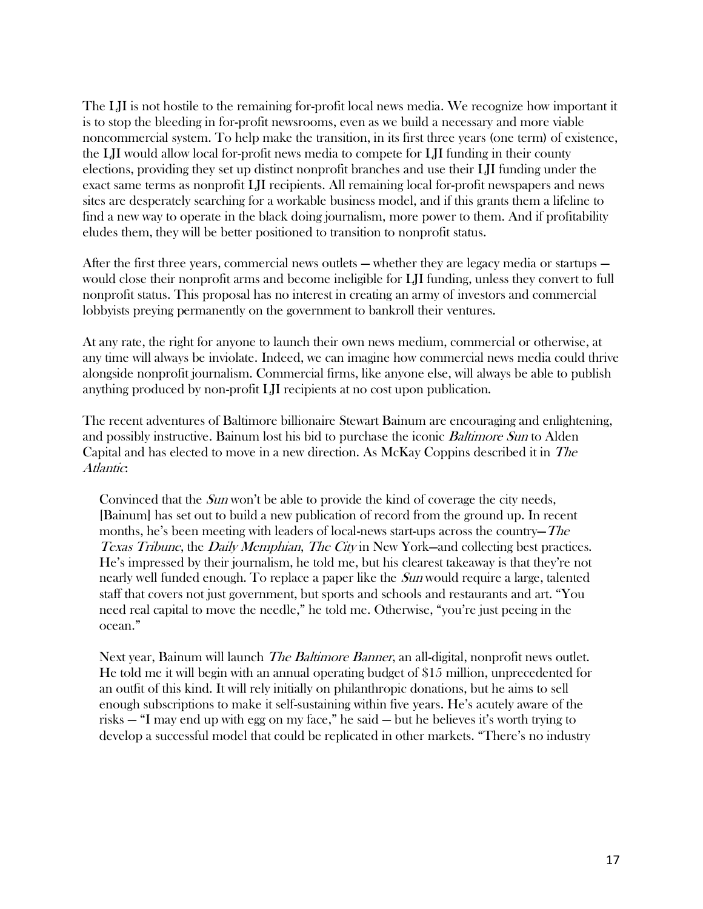The LJI is not hostile to the remaining for-profit local news media. We recognize how important it is to stop the bleeding in for-profit newsrooms, even as we build a necessary and more viable noncommercial system. To help make the transition, in its first three years (one term) of existence, the LJI would allow local for-profit news media to compete for LJI funding in their county elections, providing they set up distinct nonprofit branches and use their LJI funding under the exact same terms as nonprofit LJI recipients. All remaining local for-profit newspapers and news sites are desperately searching for a workable business model, and if this grants them a lifeline to find a new way to operate in the black doing journalism, more power to them. And if profitability eludes them, they will be better positioned to transition to nonprofit status.

After the first three years, commercial news outlets — whether they are legacy media or startups would close their nonprofit arms and become ineligible for LJI funding, unless they convert to full nonprofit status. This proposal has no interest in creating an army of investors and commercial lobbyists preying permanently on the government to bankroll their ventures.

At any rate, the right for anyone to launch their own news medium, commercial or otherwise, at any time will always be inviolate. Indeed, we can imagine how commercial news media could thrive alongside nonprofit journalism. Commercial firms, like anyone else, will always be able to publish anything produced by non-profit LJI recipients at no cost upon publication.

The recent adventures of Baltimore billionaire Stewart Bainum are encouraging and enlightening, and possibly instructive. Bainum lost his bid to purchase the iconic *Baltimore Sun* to Alden Capital and has elected to move in a new direction. As McKay Coppins described it in The Atlantic:

Convinced that the *Sun* won't be able to provide the kind of coverage the city needs, [Bainum] has set out to build a new publication of record from the ground up. In recent months, he's been meeting with leaders of local-news start-ups across the country—The Texas Tribune, the Daily Memphian, The City in New York—and collecting best practices. He's impressed by their journalism, he told me, but his clearest takeaway is that they're not nearly well funded enough. To replace a paper like the Sun would require a large, talented staff that covers not just government, but sports and schools and restaurants and art. "You need real capital to move the needle," he told me. Otherwise, "you're just peeing in the ocean."

Next year, Bainum will launch *The Baltimore Banner*, an all-digital, nonprofit news outlet. He told me it will begin with an annual operating budget of \$15 million, unprecedented for an outfit of this kind. It will rely initially on philanthropic donations, but he aims to sell enough subscriptions to make it self-sustaining within five years. He's acutely aware of the risks — "I may end up with egg on my face," he said — but he believes it's worth trying to develop a successful model that could be replicated in other markets. "There's no industry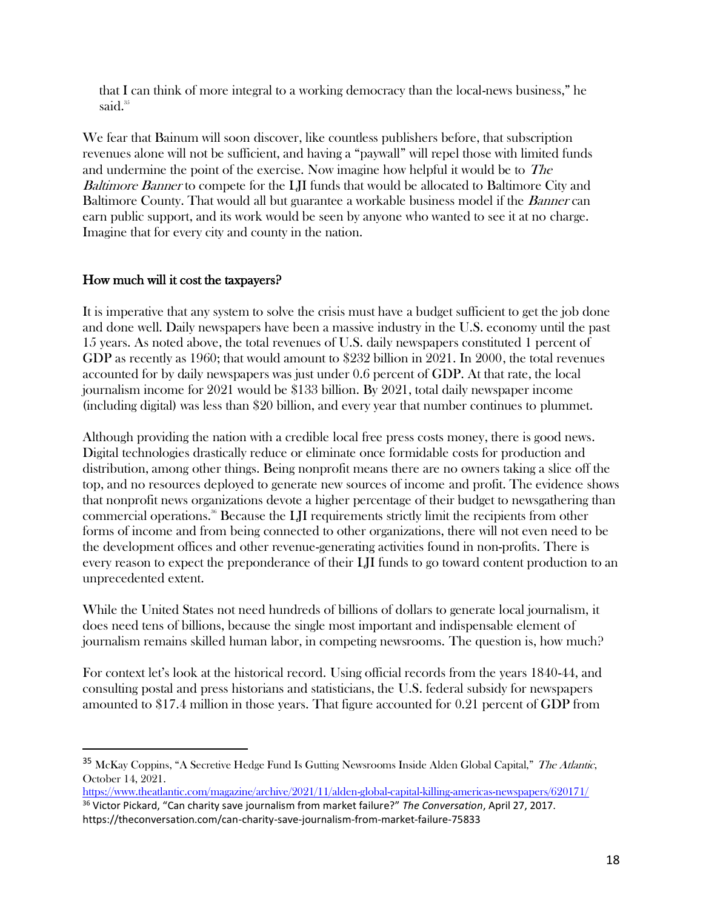that I can think of more integral to a working democracy than the local-news business," he said.<sup>35</sup>

We fear that Bainum will soon discover, like countless publishers before, that subscription revenues alone will not be sufficient, and having a "paywall" will repel those with limited funds and undermine the point of the exercise. Now imagine how helpful it would be to The Baltimore Banner to compete for the LII funds that would be allocated to Baltimore City and Baltimore County. That would all but guarantee a workable business model if the *Banner* can earn public support, and its work would be seen by anyone who wanted to see it at no charge. Imagine that for every city and county in the nation.

#### How much will it cost the taxpayers?

It is imperative that any system to solve the crisis must have a budget sufficient to get the job done and done well. Daily newspapers have been a massive industry in the U.S. economy until the past 15 years. As noted above, the total revenues of U.S. daily newspapers constituted 1 percent of GDP as recently as 1960; that would amount to \$232 billion in 2021. In 2000, the total revenues accounted for by daily newspapers was just under 0.6 percent of GDP. At that rate, the local journalism income for 2021 would be \$133 billion. By 2021, total daily newspaper income (including digital) was less than \$20 billion, and every year that number continues to plummet.

Although providing the nation with a credible local free press costs money, there is good news. Digital technologies drastically reduce or eliminate once formidable costs for production and distribution, among other things. Being nonprofit means there are no owners taking a slice off the top, and no resources deployed to generate new sources of income and profit. The evidence shows that nonprofit news organizations devote a higher percentage of their budget to newsgathering than commercial operations.<sup>36</sup> Because the LJI requirements strictly limit the recipients from other forms of income and from being connected to other organizations, there will not even need to be the development offices and other revenue-generating activities found in non-profits. There is every reason to expect the preponderance of their LJI funds to go toward content production to an unprecedented extent.

While the United States not need hundreds of billions of dollars to generate local journalism, it does need tens of billions, because the single most important and indispensable element of journalism remains skilled human labor, in competing newsrooms. The question is, how much?

For context let's look at the historical record. Using official records from the years 1840-44, and consulting postal and press historians and statisticians, the U.S. federal subsidy for newspapers amounted to \$17.4 million in those years. That figure accounted for 0.21 percent of GDP from

<sup>&</sup>lt;sup>35</sup> McKay Coppins, "A Secretive Hedge Fund Is Gutting Newsrooms Inside Alden Global Capital," The Atlantic, October 14, 2021.

<https://www.theatlantic.com/magazine/archive/2021/11/alden-global-capital-killing-americas-newspapers/620171/> <sup>36</sup> Victor Pickard, "Can charity save journalism from market failure?" *The Conversation*, April 27, 2017. https://theconversation.com/can-charity-save-journalism-from-market-failure-75833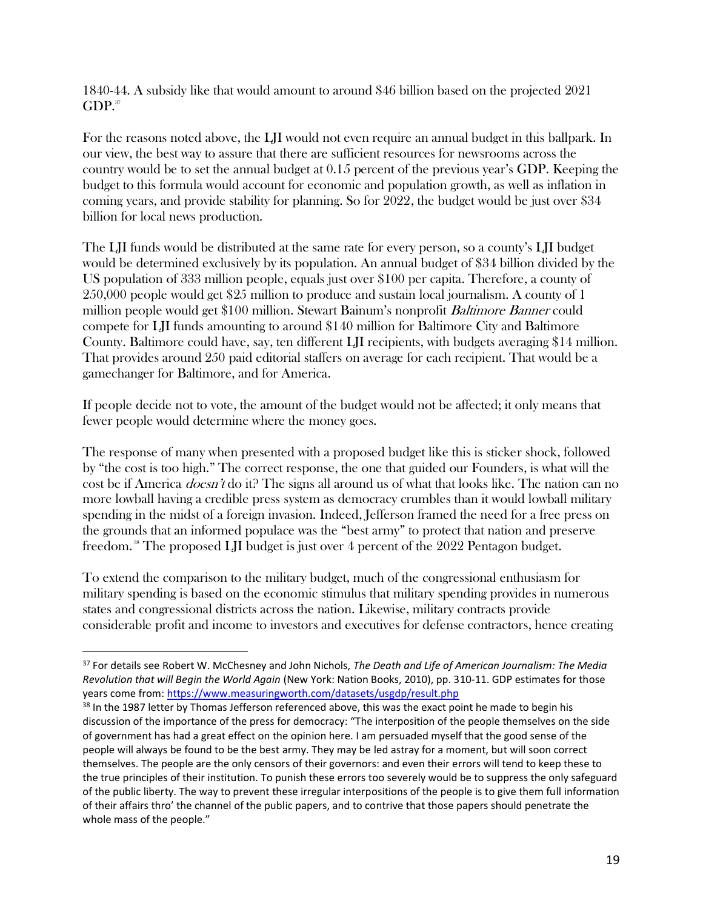1840-44. A subsidy like that would amount to around \$46 billion based on the projected 2021  $GDP.<sup>37</sup>$ 

For the reasons noted above, the LJI would not even require an annual budget in this ballpark. In our view, the best way to assure that there are sufficient resources for newsrooms across the country would be to set the annual budget at 0.15 percent of the previous year's GDP. Keeping the budget to this formula would account for economic and population growth, as well as inflation in coming years, and provide stability for planning. So for 2022, the budget would be just over \$34 billion for local news production.

The LJI funds would be distributed at the same rate for every person, so a county's LJI budget would be determined exclusively by its population. An annual budget of \$34 billion divided by the US population of 333 million people, equals just over \$100 per capita. Therefore, a county of 250,000 people would get \$25 million to produce and sustain local journalism. A county of 1 million people would get \$100 million. Stewart Bainum's nonprofit Baltimore Banner could compete for LJI funds amounting to around \$140 million for Baltimore City and Baltimore County. Baltimore could have, say, ten different LJI recipients, with budgets averaging \$14 million. That provides around 250 paid editorial staffers on average for each recipient. That would be a gamechanger for Baltimore, and for America.

If people decide not to vote, the amount of the budget would not be affected; it only means that fewer people would determine where the money goes.

The response of many when presented with a proposed budget like this is sticker shock, followed by "the cost is too high." The correct response, the one that guided our Founders, is what will the cost be if America *doesn't* do it? The signs all around us of what that looks like. The nation can no more lowball having a credible press system as democracy crumbles than it would lowball military spending in the midst of a foreign invasion. Indeed, Jefferson framed the need for a free press on the grounds that an informed populace was the "best army" to protect that nation and preserve freedom. <sup>38</sup> The proposed LJI budget is just over 4 percent of the 2022 Pentagon budget.

To extend the comparison to the military budget, much of the congressional enthusiasm for military spending is based on the economic stimulus that military spending provides in numerous states and congressional districts across the nation. Likewise, military contracts provide considerable profit and income to investors and executives for defense contractors, hence creating

<sup>37</sup> For details see Robert W. McChesney and John Nichols, *The Death and Life of American Journalism: The Media Revolution that will Begin the World Again* (New York: Nation Books, 2010), pp. 310-11. GDP estimates for those years come from[: https://www.measuringworth.com/datasets/usgdp/result.php](https://www.measuringworth.com/datasets/usgdp/result.php)

<sup>38</sup> In the 1987 letter by Thomas Jefferson referenced above, this was the exact point he made to begin his discussion of the importance of the press for democracy: "The interposition of the people themselves on the side of government has had a great effect on the opinion here. I am persuaded myself that the good sense of the people will always be found to be the best army. They may be led astray for a moment, but will soon correct themselves. The people are the only censors of their governors: and even their errors will tend to keep these to the true principles of their institution. To punish these errors too severely would be to suppress the only safeguard of the public liberty. The way to prevent these irregular interpositions of the people is to give them full information of their affairs thro' the channel of the public papers, and to contrive that those papers should penetrate the whole mass of the people."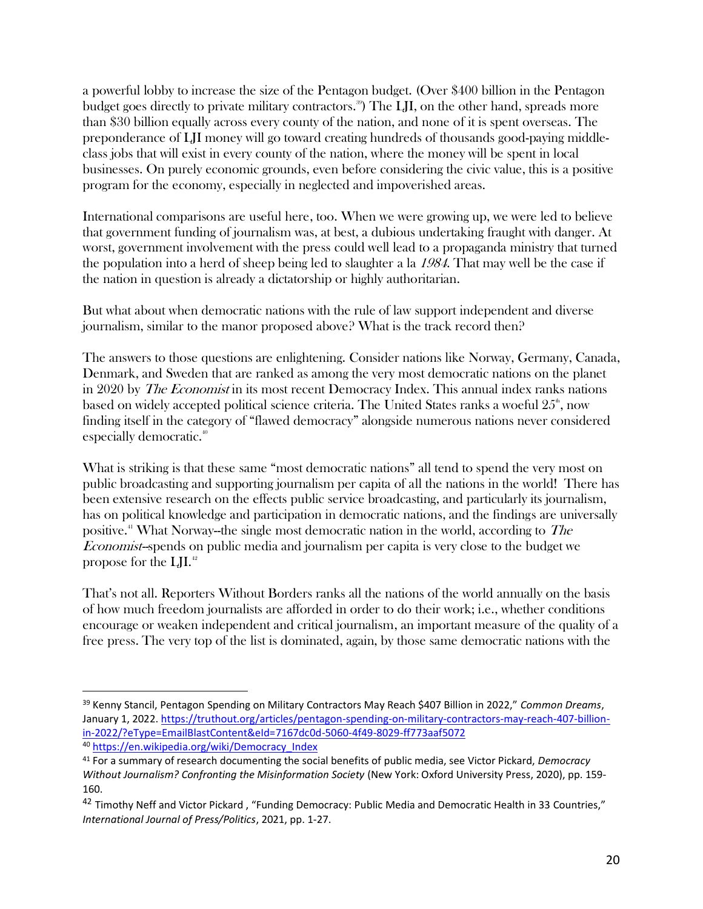a powerful lobby to increase the size of the Pentagon budget. (Over \$400 billion in the Pentagon budget goes directly to private military contractors.<sup>39</sup> The LJI, on the other hand, spreads more than \$30 billion equally across every county of the nation, and none of it is spent overseas. The preponderance of LJI money will go toward creating hundreds of thousands good-paying middleclass jobs that will exist in every county of the nation, where the money will be spent in local businesses. On purely economic grounds, even before considering the civic value, this is a positive program for the economy, especially in neglected and impoverished areas.

International comparisons are useful here, too. When we were growing up, we were led to believe that government funding of journalism was, at best, a dubious undertaking fraught with danger. At worst, government involvement with the press could well lead to a propaganda ministry that turned the population into a herd of sheep being led to slaughter a la 1984. That may well be the case if the nation in question is already a dictatorship or highly authoritarian.

But what about when democratic nations with the rule of law support independent and diverse journalism, similar to the manor proposed above? What is the track record then?

The answers to those questions are enlightening. Consider nations like Norway, Germany, Canada, Denmark, and Sweden that are ranked as among the very most democratic nations on the planet in 2020 by *The Economist* in its most recent Democracy Index. This annual index ranks nations based on widely accepted political science criteria. The United States ranks a woeful  $25^{\circ}$ , now finding itself in the category of "flawed democracy" alongside numerous nations never considered especially democratic.<sup>40</sup>

What is striking is that these same "most democratic nations" all tend to spend the very most on public broadcasting and supporting journalism per capita of all the nations in the world! There has been extensive research on the effects public service broadcasting, and particularly its journalism, has on political knowledge and participation in democratic nations, and the findings are universally positive.<sup>41</sup> What Norway--the single most democratic nation in the world, according to The Economist--spends on public media and journalism per capita is very close to the budget we propose for the LJI.<sup>42</sup>

That's not all. Reporters Without Borders ranks all the nations of the world annually on the basis of how much freedom journalists are afforded in order to do their work; i.e., whether conditions encourage or weaken independent and critical journalism, an important measure of the quality of a free press. The very top of the list is dominated, again, by those same democratic nations with the

<sup>39</sup> Kenny Stancil, Pentagon Spending on Military Contractors May Reach \$407 Billion in 2022," *Common Dreams*, January 1, 2022[. https://truthout.org/articles/pentagon-spending-on-military-contractors-may-reach-407-billion](https://truthout.org/articles/pentagon-spending-on-military-contractors-may-reach-407-billion-in-2022/?eType=EmailBlastContent&eId=7167dc0d-5060-4f49-8029-ff773aaf5072)[in-2022/?eType=EmailBlastContent&eId=7167dc0d-5060-4f49-8029-ff773aaf5072](https://truthout.org/articles/pentagon-spending-on-military-contractors-may-reach-407-billion-in-2022/?eType=EmailBlastContent&eId=7167dc0d-5060-4f49-8029-ff773aaf5072) <sup>40</sup> [https://en.wikipedia.org/wiki/Democracy\\_Index](https://en.wikipedia.org/wiki/Democracy_Index)

<sup>41</sup> For a summary of research documenting the social benefits of public media, see Victor Pickard, *Democracy Without Journalism? Confronting the Misinformation Society* (New York: Oxford University Press, 2020), pp. 159- 160.

<sup>&</sup>lt;sup>42</sup> Timothy Neff and Victor Pickard, "Funding Democracy: Public Media and Democratic Health in 33 Countries," *International Journal of Press/Politics*, 2021, pp. 1-27.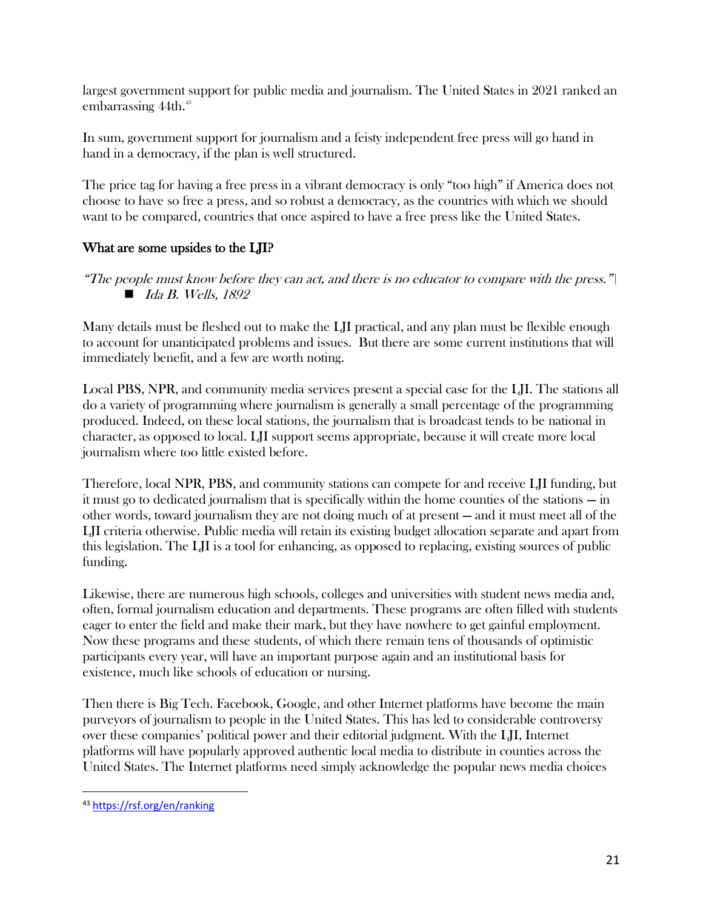largest government support for public media and journalism. The United States in 2021 ranked an embarrassing 44th. 43

In sum, government support for journalism and a feisty independent free press will go hand in hand in a democracy, if the plan is well structured.

The price tag for having a free press in a vibrant democracy is only "too high" if America does not choose to have so free a press, and so robust a democracy, as the countries with which we should want to be compared, countries that once aspired to have a free press like the United States.

## What are some upsides to the LJI?

Many details must be fleshed out to make the LJI practical, and any plan must be flexible enough to account for unanticipated problems and issues. But there are some current institutions that will immediately benefit, and a few are worth noting.

Local PBS, NPR, and community media services present a special case for the LJI. The stations all do a variety of programming where journalism is generally a small percentage of the programming produced. Indeed, on these local stations, the journalism that is broadcast tends to be national in character, as opposed to local. LJI support seems appropriate, because it will create more local journalism where too little existed before.

Therefore, local NPR, PBS, and community stations can compete for and receive LJI funding, but it must go to dedicated journalism that is specifically within the home counties of the stations — in other words, toward journalism they are not doing much of at present — and it must meet all of the LJI criteria otherwise. Public media will retain its existing budget allocation separate and apart from this legislation. The LJI is a tool for enhancing, as opposed to replacing, existing sources of public funding.

Likewise, there are numerous high schools, colleges and universities with student news media and, often, formal journalism education and departments. These programs are often filled with students eager to enter the field and make their mark, but they have nowhere to get gainful employment. Now these programs and these students, of which there remain tens of thousands of optimistic participants every year, will have an important purpose again and an institutional basis for existence, much like schools of education or nursing.

Then there is Big Tech. Facebook, Google, and other Internet platforms have become the main purveyors of journalism to people in the United States. This has led to considerable controversy over these companies' political power and their editorial judgment. With the LJI, Internet platforms will have popularly approved authentic local media to distribute in counties across the United States. The Internet platforms need simply acknowledge the popular news media choices

<sup>&</sup>quot;The people must know before they can act, and there is no educator to compare with the press." $\vert$  $\blacksquare$  Ida B. Wells, 1892

<sup>43</sup> <https://rsf.org/en/ranking>